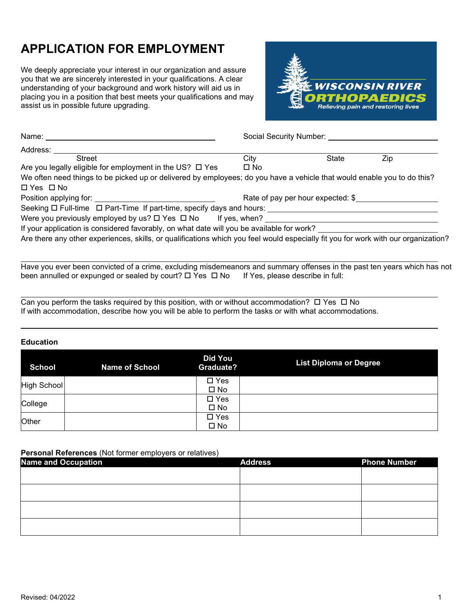# **APPLICATION FOR EMPLOYMENT**

We deeply appreciate your interest in our organization and assure you that we are sincerely interested in your qualifications. A clear understanding of your background and work history will aid us in placing you in a position that best meets your qualifications and may assist us in possible future upgrading.



| Name: ___________                                                                                                                                                                                                              | Social Security Number: |                                   |     |  |  |  |  |
|--------------------------------------------------------------------------------------------------------------------------------------------------------------------------------------------------------------------------------|-------------------------|-----------------------------------|-----|--|--|--|--|
| Address:                                                                                                                                                                                                                       |                         |                                   |     |  |  |  |  |
| <b>Street</b>                                                                                                                                                                                                                  | City                    | State                             | Zip |  |  |  |  |
| Are you legally eligible for employment in the US? $\Box$ Yes                                                                                                                                                                  | $\square$ No            |                                   |     |  |  |  |  |
| We often need things to be picked up or delivered by employees; do you have a vehicle that would enable you to do this?                                                                                                        |                         |                                   |     |  |  |  |  |
| $\Box$ Yes $\Box$ No                                                                                                                                                                                                           |                         |                                   |     |  |  |  |  |
| Position applying for: Network and Security and Security and Security and Security and Security and Security and Security and Security and Security and Security and Security and Security and Security and Security and Secur |                         | Rate of pay per hour expected: \$ |     |  |  |  |  |
| Seeking $\Box$ Full-time $\Box$ Part-Time If part-time, specify days and hours:                                                                                                                                                |                         |                                   |     |  |  |  |  |
| Were you previously employed by us? $\square$ Yes $\square$ No If yes, when?                                                                                                                                                   |                         |                                   |     |  |  |  |  |
| If your application is considered favorably, on what date will you be available for work?                                                                                                                                      |                         |                                   |     |  |  |  |  |
| Are there any other experiences, skills, or qualifications which you feel would especially fit you for work with our organization?                                                                                             |                         |                                   |     |  |  |  |  |
|                                                                                                                                                                                                                                |                         |                                   |     |  |  |  |  |
|                                                                                                                                                                                                                                |                         |                                   |     |  |  |  |  |

Have you ever been convicted of a crime, excluding misdemeanors and summary offenses in the past ten years which has not been annulled or expunged or sealed by court?  $\Box$  Yes  $\Box$  No If Yes, please describe in full:

l Can you perform the tasks required by this position, with or without accommodation?  $\Box$  Yes  $\Box$  No If with accommodation, describe how you will be able to perform the tasks or with what accommodations.

## **Education**

 $\ddot{\phantom{a}}$ 

| <b>School</b> | <b>Name of School</b> | <b>Did You</b><br><b>Graduate?</b> | <b>List Diploma or Degree</b> |
|---------------|-----------------------|------------------------------------|-------------------------------|
| High School   |                       | $\square$ Yes<br>$\square$ No      |                               |
| College       |                       | $\square$ Yes<br>$\square$ No      |                               |
| Other         |                       | $\square$ Yes<br>$\square$ No      |                               |

## **Personal References** (Not former employers or relatives)

| .<br><b>Name and Occupation</b> | <b>Address</b> | <b>Phone Number</b> |
|---------------------------------|----------------|---------------------|
|                                 |                |                     |
|                                 |                |                     |
|                                 |                |                     |
|                                 |                |                     |
|                                 |                |                     |